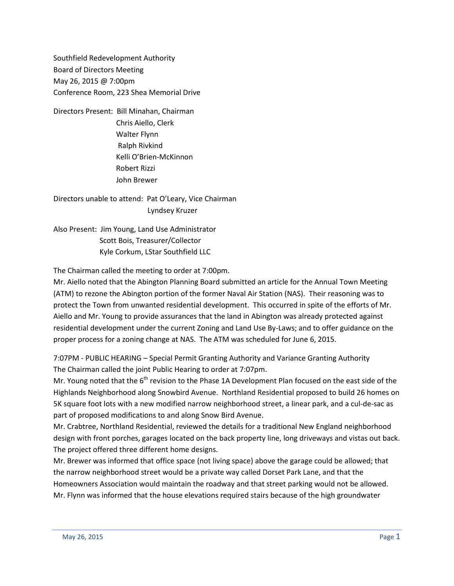Southfield Redevelopment Authority Board of Directors Meeting May 26, 2015 @ 7:00pm Conference Room, 223 Shea Memorial Drive

Directors Present: Bill Minahan, Chairman Chris Aiello, Clerk Walter Flynn Ralph Rivkind Kelli O'Brien-McKinnon Robert Rizzi John Brewer

Directors unable to attend: Pat O'Leary, Vice Chairman Lyndsey Kruzer

Also Present: Jim Young, Land Use Administrator Scott Bois, Treasurer/Collector Kyle Corkum, LStar Southfield LLC

The Chairman called the meeting to order at 7:00pm.

Mr. Aiello noted that the Abington Planning Board submitted an article for the Annual Town Meeting (ATM) to rezone the Abington portion of the former Naval Air Station (NAS). Their reasoning was to protect the Town from unwanted residential development. This occurred in spite of the efforts of Mr. Aiello and Mr. Young to provide assurances that the land in Abington was already protected against residential development under the current Zoning and Land Use By-Laws; and to offer guidance on the proper process for a zoning change at NAS. The ATM was scheduled for June 6, 2015.

7:07PM - PUBLIC HEARING – Special Permit Granting Authority and Variance Granting Authority The Chairman called the joint Public Hearing to order at 7:07pm.

Mr. Young noted that the  $6<sup>th</sup>$  revision to the Phase 1A Development Plan focused on the east side of the Highlands Neighborhood along Snowbird Avenue. Northland Residential proposed to build 26 homes on 5K square foot lots with a new modified narrow neighborhood street, a linear park, and a cul-de-sac as part of proposed modifications to and along Snow Bird Avenue.

Mr. Crabtree, Northland Residential, reviewed the details for a traditional New England neighborhood design with front porches, garages located on the back property line, long driveways and vistas out back. The project offered three different home designs.

Mr. Brewer was informed that office space (not living space) above the garage could be allowed; that the narrow neighborhood street would be a private way called Dorset Park Lane, and that the Homeowners Association would maintain the roadway and that street parking would not be allowed. Mr. Flynn was informed that the house elevations required stairs because of the high groundwater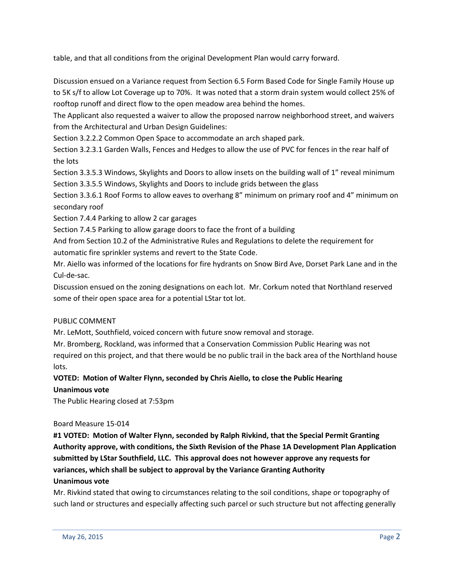table, and that all conditions from the original Development Plan would carry forward.

Discussion ensued on a Variance request from Section 6.5 Form Based Code for Single Family House up to 5K s/f to allow Lot Coverage up to 70%. It was noted that a storm drain system would collect 25% of rooftop runoff and direct flow to the open meadow area behind the homes.

The Applicant also requested a waiver to allow the proposed narrow neighborhood street, and waivers from the Architectural and Urban Design Guidelines:

Section 3.2.2.2 Common Open Space to accommodate an arch shaped park.

Section 3.2.3.1 Garden Walls, Fences and Hedges to allow the use of PVC for fences in the rear half of the lots

Section 3.3.5.3 Windows, Skylights and Doors to allow insets on the building wall of 1" reveal minimum Section 3.3.5.5 Windows, Skylights and Doors to include grids between the glass

Section 3.3.6.1 Roof Forms to allow eaves to overhang 8" minimum on primary roof and 4" minimum on secondary roof

Section 7.4.4 Parking to allow 2 car garages

Section 7.4.5 Parking to allow garage doors to face the front of a building

And from Section 10.2 of the Administrative Rules and Regulations to delete the requirement for automatic fire sprinkler systems and revert to the State Code.

Mr. Aiello was informed of the locations for fire hydrants on Snow Bird Ave, Dorset Park Lane and in the Cul-de-sac.

Discussion ensued on the zoning designations on each lot. Mr. Corkum noted that Northland reserved some of their open space area for a potential LStar tot lot.

## PUBLIC COMMENT

Mr. LeMott, Southfield, voiced concern with future snow removal and storage.

Mr. Bromberg, Rockland, was informed that a Conservation Commission Public Hearing was not required on this project, and that there would be no public trail in the back area of the Northland house lots.

# **VOTED: Motion of Walter Flynn, seconded by Chris Aiello, to close the Public Hearing**

## **Unanimous vote**

The Public Hearing closed at 7:53pm

#### Board Measure 15-014

**#1 VOTED: Motion of Walter Flynn, seconded by Ralph Rivkind, that the Special Permit Granting Authority approve, with conditions, the Sixth Revision of the Phase 1A Development Plan Application submitted by LStar Southfield, LLC. This approval does not however approve any requests for variances, which shall be subject to approval by the Variance Granting Authority Unanimous vote**

Mr. Rivkind stated that owing to circumstances relating to the soil conditions, shape or topography of such land or structures and especially affecting such parcel or such structure but not affecting generally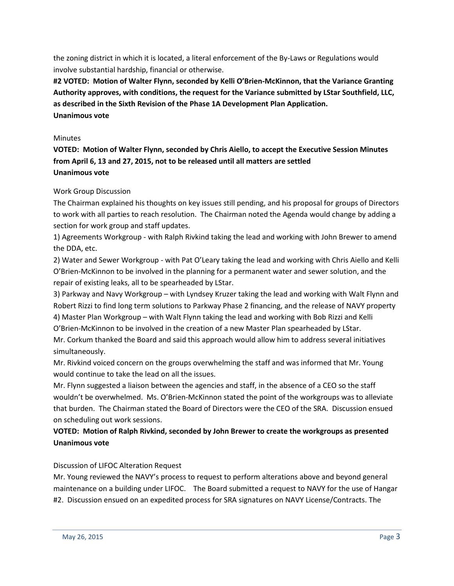the zoning district in which it is located, a literal enforcement of the By-Laws or Regulations would involve substantial hardship, financial or otherwise.

**#2 VOTED: Motion of Walter Flynn, seconded by Kelli O'Brien-McKinnon, that the Variance Granting Authority approves, with conditions, the request for the Variance submitted by LStar Southfield, LLC, as described in the Sixth Revision of the Phase 1A Development Plan Application. Unanimous vote**

#### **Minutes**

**VOTED: Motion of Walter Flynn, seconded by Chris Aiello, to accept the Executive Session Minutes from April 6, 13 and 27, 2015, not to be released until all matters are settled Unanimous vote**

## Work Group Discussion

The Chairman explained his thoughts on key issues still pending, and his proposal for groups of Directors to work with all parties to reach resolution. The Chairman noted the Agenda would change by adding a section for work group and staff updates.

1) Agreements Workgroup - with Ralph Rivkind taking the lead and working with John Brewer to amend the DDA, etc.

2) Water and Sewer Workgroup - with Pat O'Leary taking the lead and working with Chris Aiello and Kelli O'Brien-McKinnon to be involved in the planning for a permanent water and sewer solution, and the repair of existing leaks, all to be spearheaded by LStar.

3) Parkway and Navy Workgroup – with Lyndsey Kruzer taking the lead and working with Walt Flynn and Robert Rizzi to find long term solutions to Parkway Phase 2 financing, and the release of NAVY property 4) Master Plan Workgroup – with Walt Flynn taking the lead and working with Bob Rizzi and Kelli O'Brien-McKinnon to be involved in the creation of a new Master Plan spearheaded by LStar.

Mr. Corkum thanked the Board and said this approach would allow him to address several initiatives simultaneously.

Mr. Rivkind voiced concern on the groups overwhelming the staff and was informed that Mr. Young would continue to take the lead on all the issues.

Mr. Flynn suggested a liaison between the agencies and staff, in the absence of a CEO so the staff wouldn't be overwhelmed. Ms. O'Brien-McKinnon stated the point of the workgroups was to alleviate that burden. The Chairman stated the Board of Directors were the CEO of the SRA. Discussion ensued on scheduling out work sessions.

## **VOTED: Motion of Ralph Rivkind, seconded by John Brewer to create the workgroups as presented Unanimous vote**

## Discussion of LIFOC Alteration Request

Mr. Young reviewed the NAVY's process to request to perform alterations above and beyond general maintenance on a building under LIFOC. The Board submitted a request to NAVY for the use of Hangar #2. Discussion ensued on an expedited process for SRA signatures on NAVY License/Contracts. The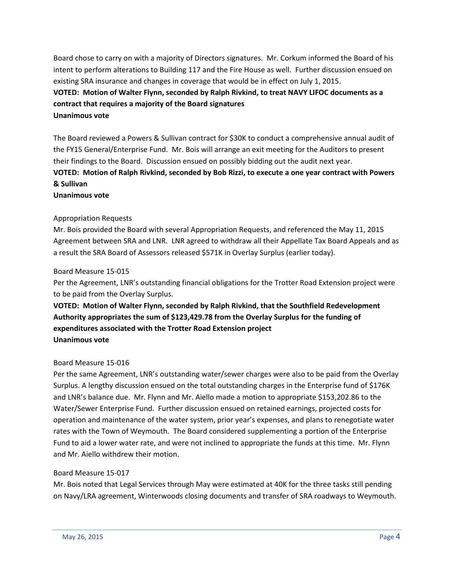Board chose to carry on with a majority of Directors signatures. Mr. Corkum informed the Board of his intent to perform alterations to Building 117 and the Fire House as well. Further discussion ensued on existing SRA insurance and changes in coverage that would be in effect on July 1, 2015.

## **VOTED: Motion of Walter Flynn, seconded by Ralph Rivkind, to treat NAVY LIFOC documents as a contract that requires a majority of the Board signatures Unanimous vote**

The Board reviewed a Powers & Sullivan contract for \$30K to conduct a comprehensive annual audit of the FY15 General/Enterprise Fund. Mr. Bois will arrange an exit meeting for the Auditors to present their findings to the Board. Discussion ensued on possibly bidding out the audit next year.

# **VOTED: Motion of Ralph Rivkind, seconded by Bob Rizzi, to execute a one year contract with Powers & Sullivan**

**Unanimous vote**

## Appropriation Requests

Mr. Bois provided the Board with several Appropriation Requests, and referenced the May 11, 2015 Agreement between SRA and LNR. LNR agreed to withdraw all their Appellate Tax Board Appeals and as a result the SRA Board of Assessors released \$571K in Overlay Surplus (earlier today).

## Board Measure 15-015

Per the Agreement, LNR's outstanding financial obligations for the Trotter Road Extension project were to be paid from the Overlay Surplus.

# **VOTED: Motion of Walter Flynn, seconded by Ralph Rivkind, that the Southfield Redevelopment Authority appropriates the sum of \$123,429.78 from the Overlay Surplus for the funding of expenditures associated with the Trotter Road Extension project Unanimous vote**

## Board Measure 15-016

Per the same Agreement, LNR's outstanding water/sewer charges were also to be paid from the Overlay Surplus. A lengthy discussion ensued on the total outstanding charges in the Enterprise fund of \$176K and LNR's balance due. Mr. Flynn and Mr. Aiello made a motion to appropriate \$153,202.86 to the Water/Sewer Enterprise Fund. Further discussion ensued on retained earnings, projected costs for operation and maintenance of the water system, prior year's expenses, and plans to renegotiate water rates with the Town of Weymouth. The Board considered supplementing a portion of the Enterprise Fund to aid a lower water rate, and were not inclined to appropriate the funds at this time. Mr. Flynn and Mr. Aiello withdrew their motion.

## Board Measure 15-017

Mr. Bois noted that Legal Services through May were estimated at 40K for the three tasks still pending on Navy/LRA agreement, Winterwoods closing documents and transfer of SRA roadways to Weymouth.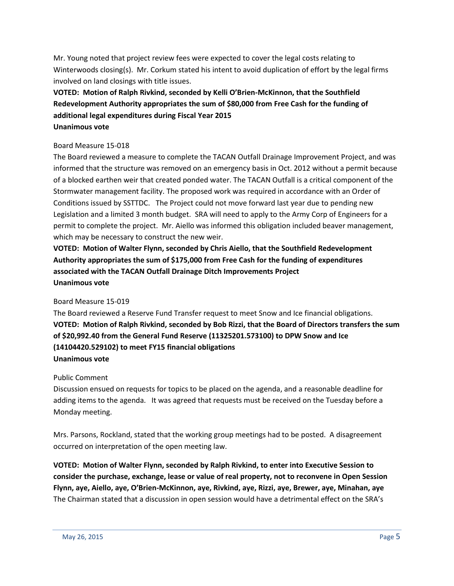Mr. Young noted that project review fees were expected to cover the legal costs relating to Winterwoods closing(s). Mr. Corkum stated his intent to avoid duplication of effort by the legal firms involved on land closings with title issues.

# **VOTED: Motion of Ralph Rivkind, seconded by Kelli O'Brien-McKinnon, that the Southfield Redevelopment Authority appropriates the sum of \$80,000 from Free Cash for the funding of additional legal expenditures during Fiscal Year 2015 Unanimous vote**

#### Board Measure 15-018

The Board reviewed a measure to complete the TACAN Outfall Drainage Improvement Project, and was informed that the structure was removed on an emergency basis in Oct. 2012 without a permit because of a blocked earthen weir that created ponded water. The TACAN Outfall is a critical component of the Stormwater management facility. The proposed work was required in accordance with an Order of Conditions issued by SSTTDC. The Project could not move forward last year due to pending new Legislation and a limited 3 month budget. SRA will need to apply to the Army Corp of Engineers for a permit to complete the project. Mr. Aiello was informed this obligation included beaver management, which may be necessary to construct the new weir.

**VOTED: Motion of Walter Flynn, seconded by Chris Aiello, that the Southfield Redevelopment Authority appropriates the sum of \$175,000 from Free Cash for the funding of expenditures associated with the TACAN Outfall Drainage Ditch Improvements Project Unanimous vote**

#### Board Measure 15-019

The Board reviewed a Reserve Fund Transfer request to meet Snow and Ice financial obligations. **VOTED: Motion of Ralph Rivkind, seconded by Bob Rizzi, that the Board of Directors transfers the sum of \$20,992.40 from the General Fund Reserve (11325201.573100) to DPW Snow and Ice (14104420.529102) to meet FY15 financial obligations Unanimous vote**

## Public Comment

Discussion ensued on requests for topics to be placed on the agenda, and a reasonable deadline for adding items to the agenda. It was agreed that requests must be received on the Tuesday before a Monday meeting.

Mrs. Parsons, Rockland, stated that the working group meetings had to be posted. A disagreement occurred on interpretation of the open meeting law.

**VOTED: Motion of Walter Flynn, seconded by Ralph Rivkind, to enter into Executive Session to consider the purchase, exchange, lease or value of real property, not to reconvene in Open Session Flynn, aye, Aiello, aye, O'Brien-McKinnon, aye, Rivkind, aye, Rizzi, aye, Brewer, aye, Minahan, aye** The Chairman stated that a discussion in open session would have a detrimental effect on the SRA's